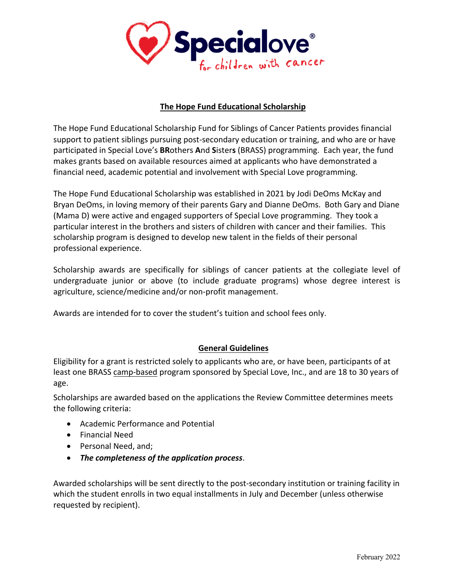

## **The Hope Fund Educational Scholarship**

The Hope Fund Educational Scholarship Fund for Siblings of Cancer Patients provides financial support to patient siblings pursuing post-secondary education or training, and who are or have participated in Special Love's **BR**others **A**nd **S**ister**s** (BRASS) programming. Each year, the fund makes grants based on available resources aimed at applicants who have demonstrated a financial need, academic potential and involvement with Special Love programming.

The Hope Fund Educational Scholarship was established in 2021 by Jodi DeOms McKay and Bryan DeOms, in loving memory of their parents Gary and Dianne DeOms. Both Gary and Diane (Mama D) were active and engaged supporters of Special Love programming. They took a particular interest in the brothers and sisters of children with cancer and their families. This scholarship program is designed to develop new talent in the fields of their personal professional experience.

Scholarship awards are specifically for siblings of cancer patients at the collegiate level of undergraduate junior or above (to include graduate programs) whose degree interest is agriculture, science/medicine and/or non-profit management.

Awards are intended for to cover the student's tuition and school fees only.

## **General Guidelines**

Eligibility for a grant is restricted solely to applicants who are, or have been, participants of at least one BRASS camp-based program sponsored by Special Love, Inc., and are 18 to 30 years of age.

Scholarships are awarded based on the applications the Review Committee determines meets the following criteria:

- Academic Performance and Potential
- Financial Need
- Personal Need, and;
- *The completeness of the application process*.

Awarded scholarships will be sent directly to the post-secondary institution or training facility in which the student enrolls in two equal installments in July and December (unless otherwise requested by recipient).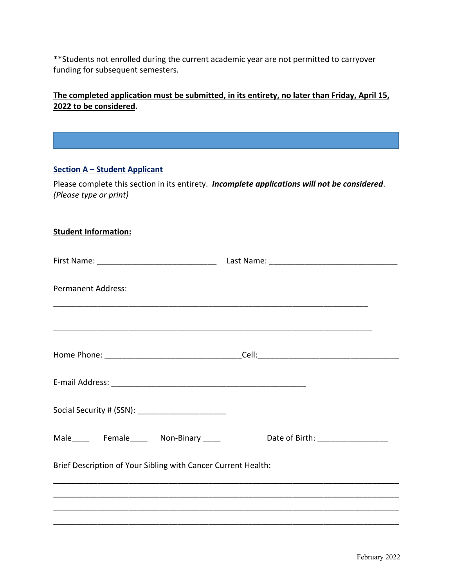\*\*Students not enrolled during the current academic year are not permitted to carryover funding for subsequent semesters.

**The completed application must be submitted, in its entirety, no later than Friday, April 15, 2022 to be considered.**

## **Section A – Student Applicant**

Please complete this section in its entirety. *Incomplete applications will not be considered*. *(Please type or print)*

| <b>Student Information:</b>                                   |  |                                     |  |  |
|---------------------------------------------------------------|--|-------------------------------------|--|--|
|                                                               |  |                                     |  |  |
| <b>Permanent Address:</b>                                     |  |                                     |  |  |
|                                                               |  |                                     |  |  |
|                                                               |  |                                     |  |  |
|                                                               |  |                                     |  |  |
| Social Security # (SSN): _________________________            |  |                                     |  |  |
| Male______ Female______ Non-Binary _____                      |  | Date of Birth: ____________________ |  |  |
| Brief Description of Your Sibling with Cancer Current Health: |  |                                     |  |  |
|                                                               |  |                                     |  |  |
|                                                               |  |                                     |  |  |
|                                                               |  |                                     |  |  |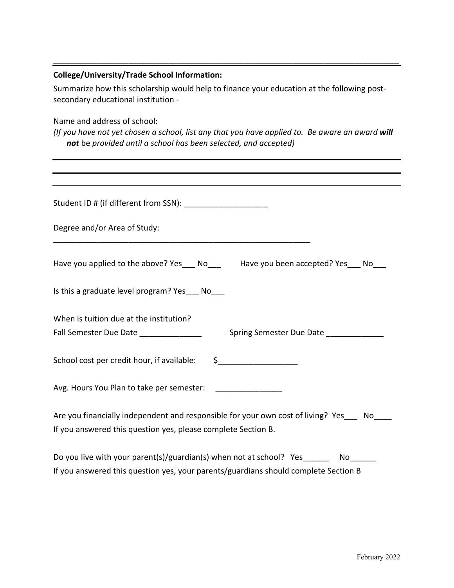# **College/University/Trade School Information:**

Summarize how this scholarship would help to finance your education at the following postsecondary educational institution -

\_\_\_\_\_\_\_\_\_\_\_\_\_\_\_\_\_\_\_\_\_\_\_\_\_\_\_\_\_\_\_\_\_\_\_\_\_\_\_\_\_\_\_\_\_\_\_\_\_\_\_\_\_\_\_\_\_\_\_\_\_\_\_\_\_\_\_\_\_\_\_\_\_\_\_\_\_\_

Name and address of school:

*(If you have not yet chosen a school, list any that you have applied to. Be aware an award will not* be *provided until a school has been selected, and accepted)*

| Student ID # (if different from SSN): ________________________                                                                                                         |
|------------------------------------------------------------------------------------------------------------------------------------------------------------------------|
| Degree and/or Area of Study:                                                                                                                                           |
| Have you applied to the above? Yes___ No___ Have you been accepted? Yes___ No___                                                                                       |
| Is this a graduate level program? Yes____ No____                                                                                                                       |
| When is tuition due at the institution?<br>Fall Semester Due Date ___________________ Spring Semester Due Date ____________                                            |
| School cost per credit hour, if available: \$_______________________                                                                                                   |
| Avg. Hours You Plan to take per semester: _________________                                                                                                            |
| Are you financially independent and responsible for your own cost of living? Yes___ No___<br>If you answered this question yes, please complete Section B.             |
| Do you live with your parent(s)/guardian(s) when not at school? Yes ________ No<br>If you answered this question yes, your parents/guardians should complete Section B |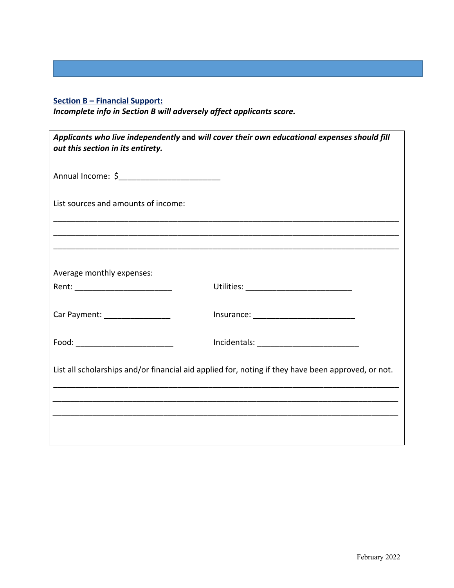# **Section B – Financial Support:**

*Incomplete info in Section B will adversely affect applicants score.*

| out this section in its entirety.                                                                  | Applicants who live independently and will cover their own educational expenses should fill |  |
|----------------------------------------------------------------------------------------------------|---------------------------------------------------------------------------------------------|--|
|                                                                                                    |                                                                                             |  |
| List sources and amounts of income:                                                                |                                                                                             |  |
|                                                                                                    |                                                                                             |  |
|                                                                                                    |                                                                                             |  |
| Average monthly expenses:                                                                          |                                                                                             |  |
|                                                                                                    |                                                                                             |  |
| Car Payment: __________________                                                                    |                                                                                             |  |
| Food: ____________________________                                                                 |                                                                                             |  |
| List all scholarships and/or financial aid applied for, noting if they have been approved, or not. |                                                                                             |  |
|                                                                                                    |                                                                                             |  |
|                                                                                                    |                                                                                             |  |
|                                                                                                    |                                                                                             |  |
|                                                                                                    |                                                                                             |  |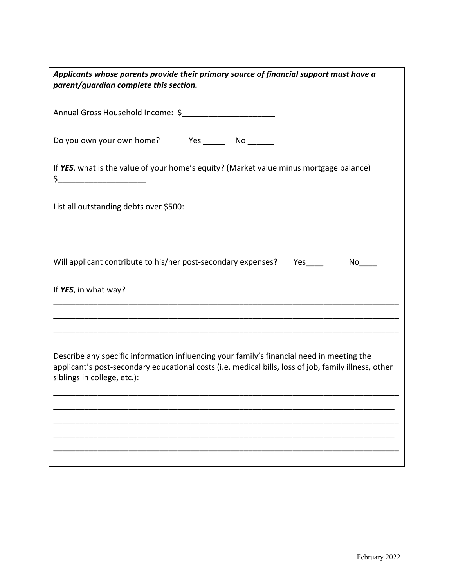| Applicants whose parents provide their primary source of financial support must have a<br>parent/guardian complete this section.                                                                                                 |  |  |
|----------------------------------------------------------------------------------------------------------------------------------------------------------------------------------------------------------------------------------|--|--|
| Annual Gross Household Income: \$                                                                                                                                                                                                |  |  |
| Do you own your own home? Yes ________ No _______                                                                                                                                                                                |  |  |
| If YES, what is the value of your home's equity? (Market value minus mortgage balance)                                                                                                                                           |  |  |
| List all outstanding debts over \$500:                                                                                                                                                                                           |  |  |
| Will applicant contribute to his/her post-secondary expenses? Yes ______________ No_____<br>If YES, in what way?                                                                                                                 |  |  |
|                                                                                                                                                                                                                                  |  |  |
| Describe any specific information influencing your family's financial need in meeting the<br>applicant's post-secondary educational costs (i.e. medical bills, loss of job, family illness, other<br>siblings in college, etc.): |  |  |
|                                                                                                                                                                                                                                  |  |  |
|                                                                                                                                                                                                                                  |  |  |
|                                                                                                                                                                                                                                  |  |  |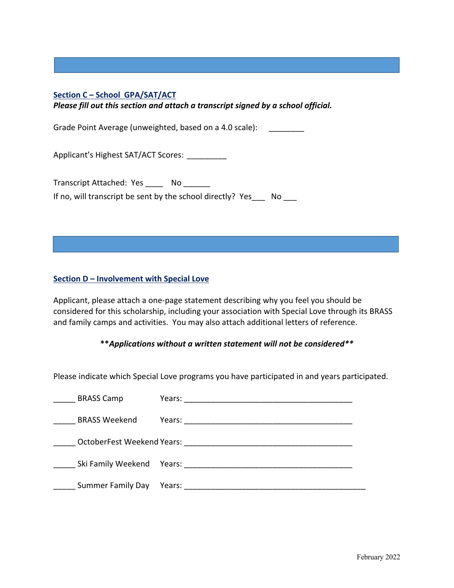## **Section C – School GPA/SAT/ACT**

*Please fill out this section and attach a transcript signed by a school official.*

Grade Point Average (unweighted, based on a 4.0 scale):

Applicant's Highest SAT/ACT Scores: \_\_\_\_\_\_\_\_\_

Transcript Attached: Yes \_\_\_\_\_ No \_\_\_\_\_\_ If no, will transcript be sent by the school directly? Yes No

#### **Section D – Involvement with Special Love**

Applicant, please attach a one-page statement describing why you feel you should be considered for this scholarship, including your association with Special Love through its BRASS and family camps and activities. You may also attach additional letters of reference.

**\*\****Applications without a written statement will not be considered\*\**

Please indicate which Special Love programs you have participated in and years participated.

| <b>BRASS Camp</b>                 | Years: |
|-----------------------------------|--------|
| <b>BRASS Weekend</b>              | Years: |
| <b>OctoberFest Weekend Years:</b> |        |
| Ski Family Weekend                | Years: |
| <b>Summer Family Day</b>          | Years: |